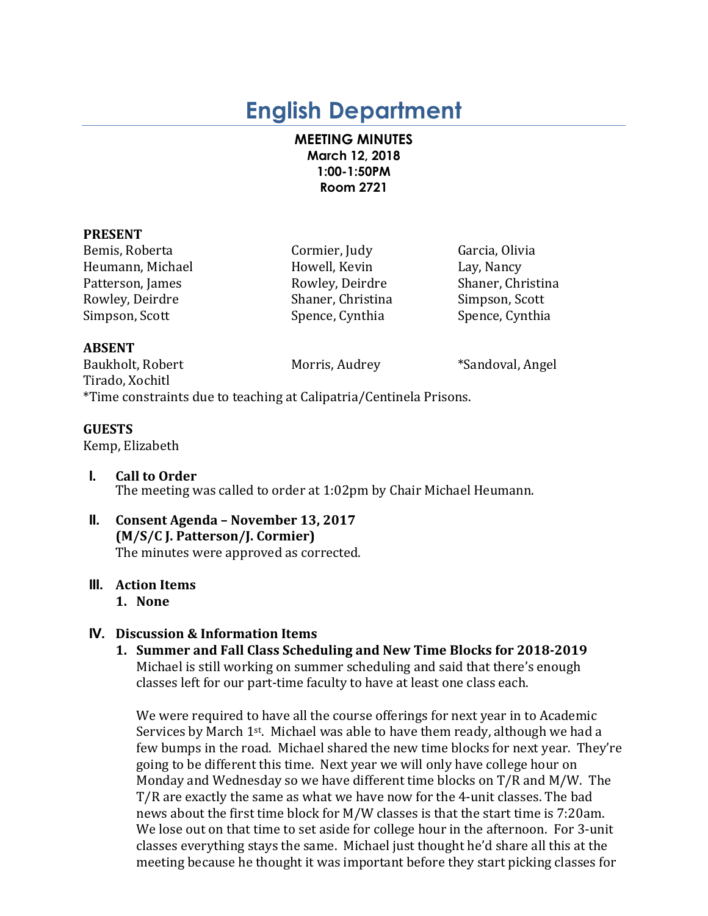# **English Department**

## **MEETING MINUTES March 12, 2018 1:00-1:50PM Room 2721**

## **PRESENT**

Bemis, Roberta Cormier, Judy Garcia, Olivia Heumann, Michael **Howell, Kevin** Lay, Nancy Patterson, James **Rowley, Deirdre** Shaner, Christina Rowley, Deirdre Shaner, Christina Simpson, Scott Simpson, Scott Spence, Cynthia Spence, Cynthia Spence, Cynthia

## **ABSENT**

Baukholt, Robert Morris, Audrey \*Sandoval, Angel Tirado, Xochitl \*Time constraints due to teaching at Calipatria/Centinela Prisons.

## **GUESTS**

Kemp, Elizabeth

- **I. Call to Order** The meeting was called to order at 1:02pm by Chair Michael Heumann.
- **II. Consent Agenda – November 13, 2017 (M/S/C J. Patterson/J. Cormier)** The minutes were approved as corrected.

## **III.** Action Items

**1. None**

# **IV. Discussion & Information Items**

1. Summer and Fall Class Scheduling and New Time Blocks for 2018-2019 Michael is still working on summer scheduling and said that there's enough classes left for our part-time faculty to have at least one class each.

We were required to have all the course offerings for next year in to Academic Services by March  $1^{st}$ . Michael was able to have them ready, although we had a few bumps in the road. Michael shared the new time blocks for next year. They're going to be different this time. Next year we will only have college hour on Monday and Wednesday so we have different time blocks on  $T/R$  and  $M/W$ . The T/R are exactly the same as what we have now for the 4-unit classes. The bad news about the first time block for M/W classes is that the start time is 7:20am. We lose out on that time to set aside for college hour in the afternoon. For 3-unit classes everything stays the same. Michael just thought he'd share all this at the meeting because he thought it was important before they start picking classes for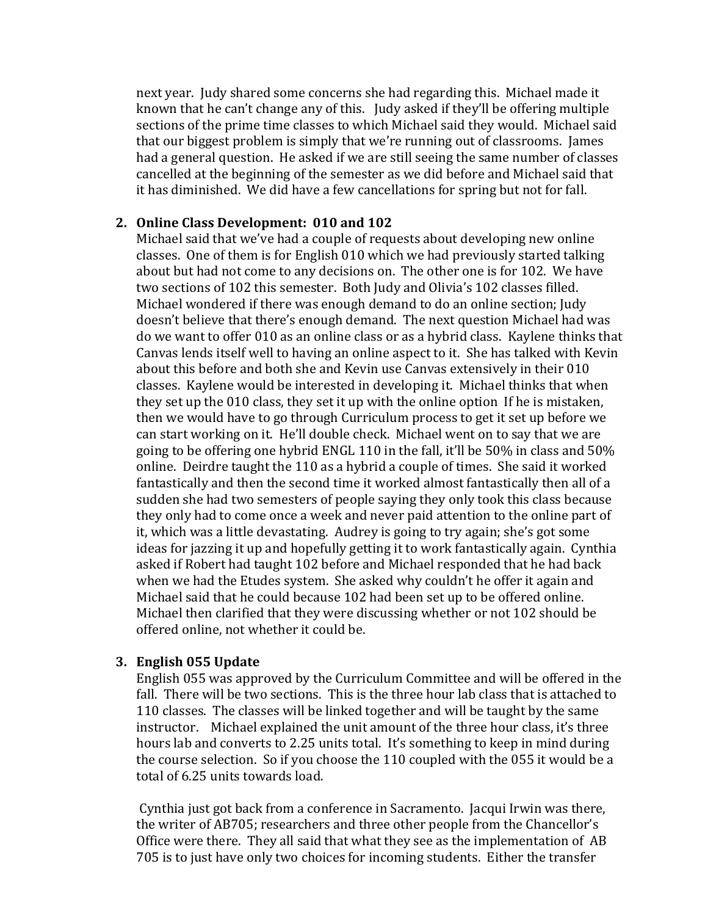next year. Judy shared some concerns she had regarding this. Michael made it known that he can't change any of this. Judy asked if they'll be offering multiple sections of the prime time classes to which Michael said they would. Michael said that our biggest problem is simply that we're running out of classrooms. James had a general question. He asked if we are still seeing the same number of classes cancelled at the beginning of the semester as we did before and Michael said that it has diminished. We did have a few cancellations for spring but not for fall.

## **2. Online Class Development: 010 and 102**

Michael said that we've had a couple of requests about developing new online classes. One of them is for English 010 which we had previously started talking about but had not come to any decisions on. The other one is for 102. We have two sections of 102 this semester. Both Judy and Olivia's 102 classes filled. Michael wondered if there was enough demand to do an online section; Judy doesn't believe that there's enough demand. The next question Michael had was do we want to offer 010 as an online class or as a hybrid class. Kaylene thinks that Canvas lends itself well to having an online aspect to it. She has talked with Kevin about this before and both she and Kevin use Canvas extensively in their 010 classes. Kaylene would be interested in developing it. Michael thinks that when they set up the 010 class, they set it up with the online option If he is mistaken, then we would have to go through Curriculum process to get it set up before we can start working on it. He'll double check. Michael went on to say that we are going to be offering one hybrid ENGL 110 in the fall, it'll be  $50\%$  in class and  $50\%$ online. Deirdre taught the 110 as a hybrid a couple of times. She said it worked fantastically and then the second time it worked almost fantastically then all of a sudden she had two semesters of people saying they only took this class because they only had to come once a week and never paid attention to the online part of it, which was a little devastating. Audrey is going to try again; she's got some ideas for jazzing it up and hopefully getting it to work fantastically again. Cynthia asked if Robert had taught 102 before and Michael responded that he had back when we had the Etudes system. She asked why couldn't he offer it again and Michael said that he could because 102 had been set up to be offered online. Michael then clarified that they were discussing whether or not 102 should be offered online, not whether it could be.

## **3. English 055 Update**

English 055 was approved by the Curriculum Committee and will be offered in the fall. There will be two sections. This is the three hour lab class that is attached to 110 classes. The classes will be linked together and will be taught by the same instructor. Michael explained the unit amount of the three hour class, it's three hours lab and converts to 2.25 units total. It's something to keep in mind during the course selection. So if you choose the 110 coupled with the  $055$  it would be a total of 6.25 units towards load.

Cynthia just got back from a conference in Sacramento. Jacqui Irwin was there, the writer of AB705; researchers and three other people from the Chancellor's Office were there. They all said that what they see as the implementation of AB 705 is to just have only two choices for incoming students. Either the transfer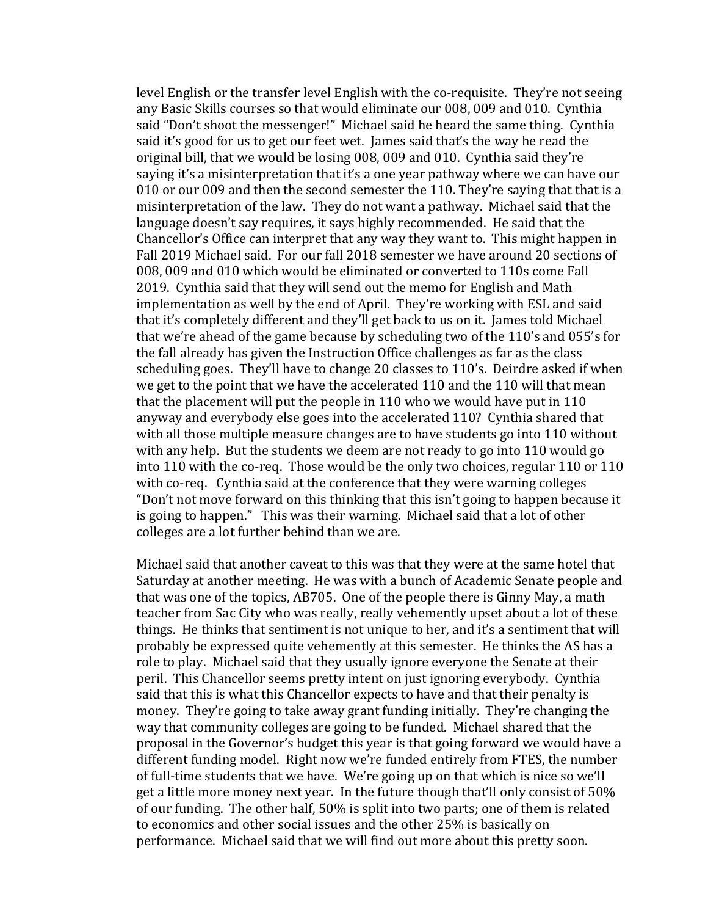level English or the transfer level English with the co-requisite. They're not seeing any Basic Skills courses so that would eliminate our 008, 009 and 010. Cynthia said "Don't shoot the messenger!" Michael said he heard the same thing. Cynthia said it's good for us to get our feet wet. James said that's the way he read the original bill, that we would be losing  $008$ ,  $009$  and  $010$ . Cynthia said they're saying it's a misinterpretation that it's a one year pathway where we can have our 010 or our 009 and then the second semester the 110. They're saying that that is a misinterpretation of the law. They do not want a pathway. Michael said that the language doesn't say requires, it says highly recommended. He said that the Chancellor's Office can interpret that any way they want to. This might happen in Fall 2019 Michael said. For our fall 2018 semester we have around 20 sections of 008, 009 and 010 which would be eliminated or converted to 110s come Fall 2019. Cynthia said that they will send out the memo for English and Math implementation as well by the end of April. They're working with ESL and said that it's completely different and they'll get back to us on it. James told Michael that we're ahead of the game because by scheduling two of the  $110$ 's and  $055$ 's for the fall already has given the Instruction Office challenges as far as the class scheduling goes. They'll have to change 20 classes to 110's. Deirdre asked if when we get to the point that we have the accelerated 110 and the 110 will that mean that the placement will put the people in 110 who we would have put in 110 anyway and everybody else goes into the accelerated 110? Cynthia shared that with all those multiple measure changes are to have students go into 110 without with any help. But the students we deem are not ready to go into 110 would go into 110 with the co-req. Those would be the only two choices, regular 110 or 110 with co-req. Cynthia said at the conference that they were warning colleges "Don't not move forward on this thinking that this isn't going to happen because it is going to happen." This was their warning. Michael said that a lot of other colleges are a lot further behind than we are.

Michael said that another caveat to this was that they were at the same hotel that Saturday at another meeting. He was with a bunch of Academic Senate people and that was one of the topics, AB705. One of the people there is Ginny May, a math teacher from Sac City who was really, really vehemently upset about a lot of these things. He thinks that sentiment is not unique to her, and it's a sentiment that will probably be expressed quite vehemently at this semester. He thinks the AS has a role to play. Michael said that they usually ignore everyone the Senate at their peril. This Chancellor seems pretty intent on just ignoring everybody. Cynthia said that this is what this Chancellor expects to have and that their penalty is money. They're going to take away grant funding initially. They're changing the way that community colleges are going to be funded. Michael shared that the proposal in the Governor's budget this year is that going forward we would have a different funding model. Right now we're funded entirely from FTES, the number of full-time students that we have. We're going up on that which is nice so we'll get a little more money next year. In the future though that'll only consist of 50% of our funding. The other half, 50% is split into two parts; one of them is related to economics and other social issues and the other 25% is basically on performance. Michael said that we will find out more about this pretty soon.